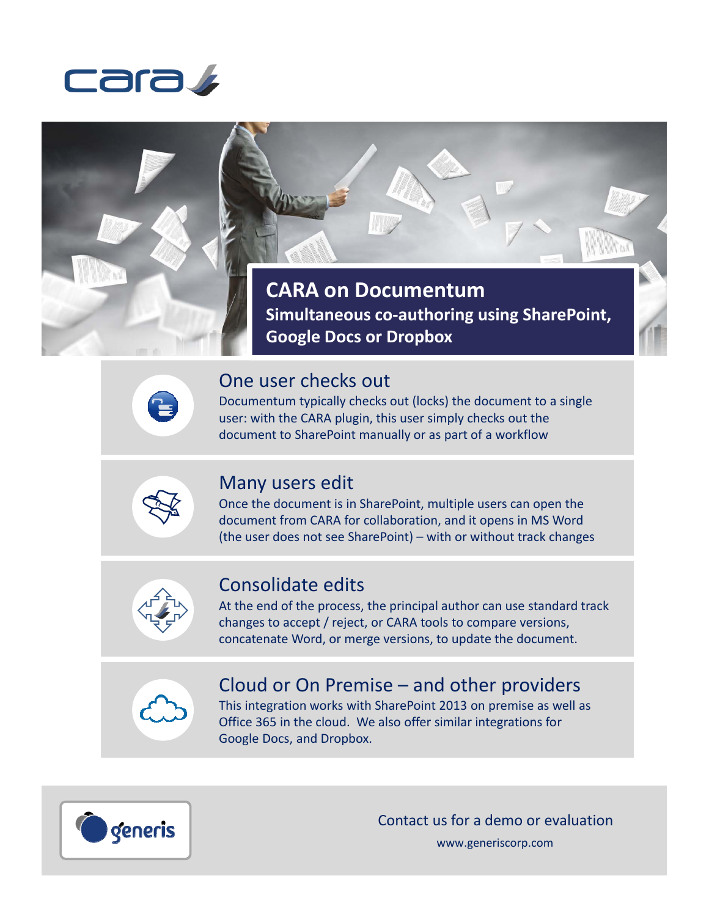



## One user checks out

Documentum typically checks out (locks) the document to a single user: with the CARA plugin, this user simply checks out the document to SharePoint manually or as part of a workflow



Ê

## Many users edit

Once the document is in SharePoint, multiple users can open the document from CARA for collaboration, and it opens in MS Word (the user does not see SharePoint) – with or without track changes



## Consolidate edits

At the end of the process, the principal author can use standard track changes to accept / reject, or CARA tools to compare versions, concatenate Word, or merge versions, to update the document.



## Cloud or On Premise – and other providers

This integration works with SharePoint 2013 on premise as well as Office 365 in the cloud. We also offer similar integrations for Google Docs, and Dropbox.



Contact us for a demo or evaluation

www.generiscorp.com